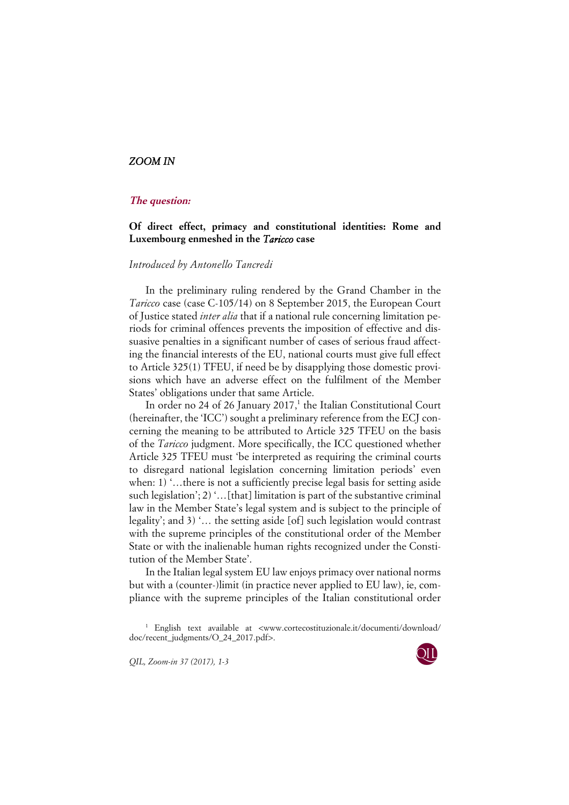## *ZOOM IN*

## **The question:**

## **Of direct effect, primacy and constitutional identities: Rome and Luxembourg enmeshed in the** *Taricco* **case**

## *Introduced by Antonello Tancredi*

In the preliminary ruling rendered by the Grand Chamber in the *Taricco* case (case C-105/14) on 8 September 2015, the European Court of Justice stated *inter alia* that if a national rule concerning limitation periods for criminal offences prevents the imposition of effective and dissuasive penalties in a significant number of cases of serious fraud affecting the financial interests of the EU, national courts must give full effect to Article 325(1) TFEU, if need be by disapplying those domestic provisions which have an adverse effect on the fulfilment of the Member States' obligations under that same Article.

In order no 24 of 26 January 2017, $<sup>1</sup>$  the Italian Constitutional Court</sup> (hereinafter, the 'ICC') sought a preliminary reference from the ECJ concerning the meaning to be attributed to Article 325 TFEU on the basis of the *Taricco* judgment. More specifically, the ICC questioned whether Article 325 TFEU must 'be interpreted as requiring the criminal courts to disregard national legislation concerning limitation periods' even when: 1) '...there is not a sufficiently precise legal basis for setting aside such legislation'; 2) '…[that] limitation is part of the substantive criminal law in the Member State's legal system and is subject to the principle of legality'; and 3) '… the setting aside [of] such legislation would contrast with the supreme principles of the constitutional order of the Member State or with the inalienable human rights recognized under the Constitution of the Member State'.

In the Italian legal system EU law enjoys primacy over national norms but with a (counter-)limit (in practice never applied to EU law), ie, compliance with the supreme principles of the Italian constitutional order

*QIL, Zoom-in 37 (2017), 1-3* 



<sup>1</sup> English text available at <www.cortecostituzionale.it/documenti/download/ doc/recent\_judgments/O\_24\_2017.pdf>.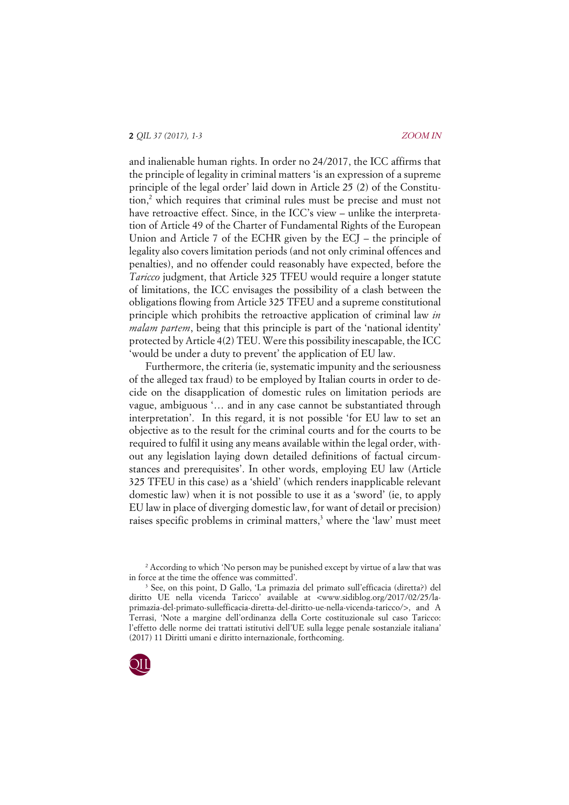and inalienable human rights. In order no 24/2017, the ICC affirms that the principle of legality in criminal matters 'is an expression of a supreme principle of the legal order' laid down in Article 25 (2) of the Constitution,<sup>2</sup> which requires that criminal rules must be precise and must not have retroactive effect. Since, in the ICC's view – unlike the interpretation of Article 49 of the Charter of Fundamental Rights of the European Union and Article 7 of the ECHR given by the ECJ – the principle of legality also covers limitation periods (and not only criminal offences and penalties), and no offender could reasonably have expected, before the *Taricco* judgment, that Article 325 TFEU would require a longer statute of limitations, the ICC envisages the possibility of a clash between the obligations flowing from Article 325 TFEU and a supreme constitutional principle which prohibits the retroactive application of criminal law *in malam partem*, being that this principle is part of the 'national identity' protected by Article 4(2) TEU. Were this possibility inescapable, the ICC 'would be under a duty to prevent' the application of EU law.

Furthermore, the criteria (ie, systematic impunity and the seriousness of the alleged tax fraud) to be employed by Italian courts in order to decide on the disapplication of domestic rules on limitation periods are vague, ambiguous '… and in any case cannot be substantiated through interpretation'. In this regard, it is not possible 'for EU law to set an objective as to the result for the criminal courts and for the courts to be required to fulfil it using any means available within the legal order, without any legislation laying down detailed definitions of factual circumstances and prerequisites'. In other words, employing EU law (Article 325 TFEU in this case) as a 'shield' (which renders inapplicable relevant domestic law) when it is not possible to use it as a 'sword' (ie, to apply EU law in place of diverging domestic law, for want of detail or precision) raises specific problems in criminal matters,<sup>3</sup> where the 'law' must meet

<sup>3</sup> See, on this point, D Gallo, 'La primazia del primato sull'efficacia (diretta?) del diritto UE nella vicenda Taricco' available at <www.sidiblog.org/2017/02/25/laprimazia-del-primato-sullefficacia-diretta-del-diritto-ue-nella-vicenda-taricco/>, and A Terrasi, 'Note a margine dell'ordinanza della Corte costituzionale sul caso Taricco: l'effetto delle norme dei trattati istitutivi dell'UE sulla legge penale sostanziale italiana' (2017) 11 Diritti umani e diritto internazionale, forthcoming.



<sup>&</sup>lt;sup>2</sup> According to which 'No person may be punished except by virtue of a law that was in force at the time the offence was committed'.